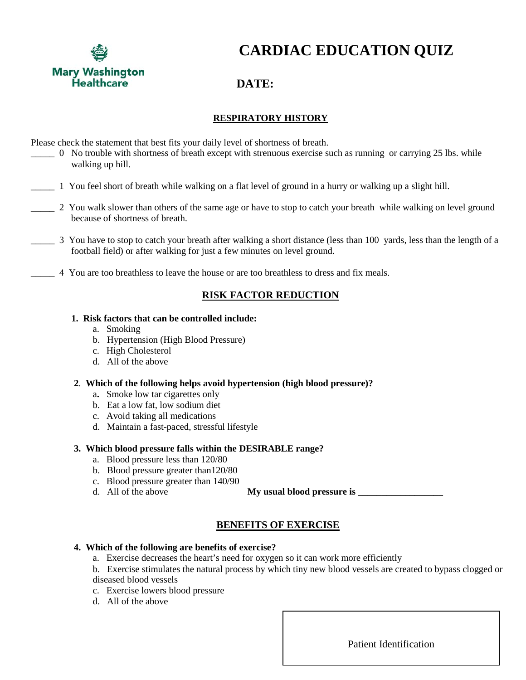

**CARDIAC EDUCATION QUIZ**

# **DATE:**

# **RESPIRATORY HISTORY**

Please check the statement that best fits your daily level of shortness of breath.

- \_\_\_\_\_ 0 No trouble with shortness of breath except with strenuous exercise such as running or carrying 25 lbs. while walking up hill.
- \_\_\_\_\_ 1 You feel short of breath while walking on a flat level of ground in a hurry or walking up a slight hill.
- 2 You walk slower than others of the same age or have to stop to catch your breath while walking on level ground because of shortness of breath.
- \_\_\_\_\_ 3 You have to stop to catch your breath after walking a short distance (less than 100 yards, less than the length of a football field) or after walking for just a few minutes on level ground.
- \_\_\_\_\_ 4 You are too breathless to leave the house or are too breathless to dress and fix meals.

# **RISK FACTOR REDUCTION**

### **1. Risk factors that can be controlled include:**

- a. Smoking
- b. Hypertension (High Blood Pressure)
- c. High Cholesterol
- d. All of the above

### **2**. **Which of the following helps avoid hypertension (high blood pressure)?**

- a**.** Smoke low tar cigarettes only
- b. Eat a low fat, low sodium diet
- c. Avoid taking all medications
- d. Maintain a fast-paced, stressful lifestyle

## **3. Which blood pressure falls within the DESIRABLE range?**

- a. Blood pressure less than 120/80
- b. Blood pressure greater than120/80
- c. Blood pressure greater than 140/90
- d. All of the above **My usual blood pressure is**

# **BENEFITS OF EXERCISE**

### **4. Which of the following are benefits of exercise?**

- a. Exercise decreases the heart's need for oxygen so it can work more efficiently
- b. Exercise stimulates the natural process by which tiny new blood vessels are created to bypass clogged or diseased blood vessels
- c. Exercise lowers blood pressure
- d. All of the above

Patient Identification